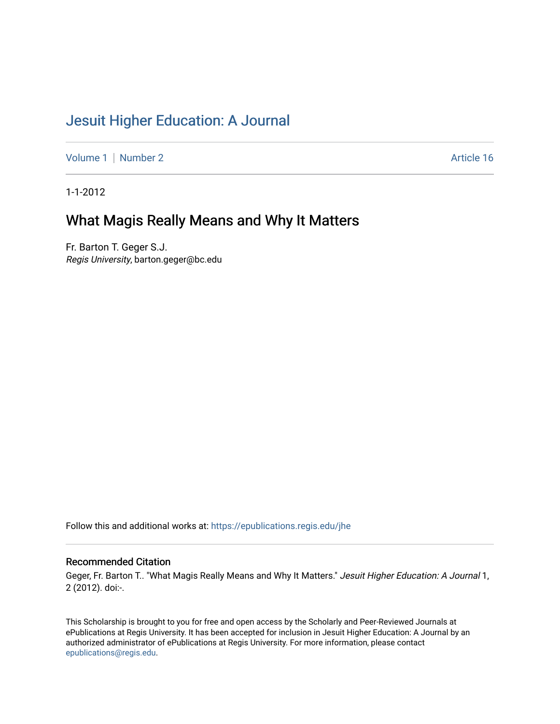# [Jesuit Higher Education: A Journal](https://epublications.regis.edu/jhe)

[Volume 1](https://epublications.regis.edu/jhe/vol1) | [Number 2](https://epublications.regis.edu/jhe/vol1/iss2) Article 16

1-1-2012

# What Magis Really Means and Why It Matters

Fr. Barton T. Geger S.J. Regis University, barton.geger@bc.edu

Follow this and additional works at: [https://epublications.regis.edu/jhe](https://epublications.regis.edu/jhe?utm_source=epublications.regis.edu%2Fjhe%2Fvol1%2Fiss2%2F16&utm_medium=PDF&utm_campaign=PDFCoverPages) 

#### Recommended Citation

Geger, Fr. Barton T.. "What Magis Really Means and Why It Matters." Jesuit Higher Education: A Journal 1, 2 (2012). doi:-.

This Scholarship is brought to you for free and open access by the Scholarly and Peer-Reviewed Journals at ePublications at Regis University. It has been accepted for inclusion in Jesuit Higher Education: A Journal by an authorized administrator of ePublications at Regis University. For more information, please contact [epublications@regis.edu.](mailto:epublications@regis.edu)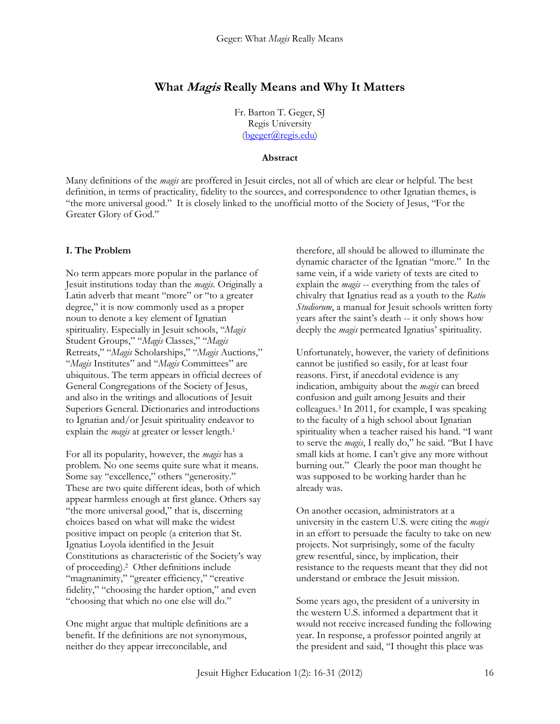# **What Magis Really Means and Why It Matters**

Fr. Barton T. Geger, SJ Regis University [\(bgeger@regis.edu\)](mailto:bgeger@regis.edu)

#### **Abstract**

Many definitions of the *magis* are proffered in Jesuit circles, not all of which are clear or helpful. The best definition, in terms of practicality, fidelity to the sources, and correspondence to other Ignatian themes, is "the more universal good." It is closely linked to the unofficial motto of the Society of Jesus, "For the Greater Glory of God."

#### **I. The Problem**

No term appears more popular in the parlance of Jesuit institutions today than the *magis*. Originally a Latin adverb that meant "more" or "to a greater degree," it is now commonly used as a proper noun to denote a key element of Ignatian spirituality. Especially in Jesuit schools, "*Magis* Student Groups," "*Magis* Classes," "*Magis* Retreats," "*Magis* Scholarships," "*Magis* Auctions," "*Magis* Institutes" and "*Magis* Committees" are ubiquitous. The term appears in official decrees of General Congregations of the Society of Jesus, and also in the writings and allocutions of Jesuit Superiors General. Dictionaries and introductions to Ignatian and/or Jesuit spirituality endeavor to explain the *magis* at greater or lesser length.<sup>1</sup>

For all its popularity, however, the *magis* has a problem. No one seems quite sure what it means. Some say "excellence," others "generosity." These are two quite different ideas, both of which appear harmless enough at first glance. Others say "the more universal good," that is, discerning choices based on what will make the widest positive impact on people (a criterion that St. Ignatius Loyola identified in the Jesuit Constitutions as characteristic of the Society's way of proceeding).<sup>2</sup> Other definitions include "magnanimity," "greater efficiency," "creative fidelity," "choosing the harder option," and even "choosing that which no one else will do."

One might argue that multiple definitions are a benefit. If the definitions are not synonymous, neither do they appear irreconcilable, and

therefore, all should be allowed to illuminate the dynamic character of the Ignatian "more." In the same vein, if a wide variety of texts are cited to explain the *magis* -- everything from the tales of chivalry that Ignatius read as a youth to the *Ratio Studiorum*, a manual for Jesuit schools written forty years after the saint's death -- it only shows how deeply the *magis* permeated Ignatius' spirituality.

Unfortunately, however, the variety of definitions cannot be justified so easily, for at least four reasons. First, if anecdotal evidence is any indication, ambiguity about the *magis* can breed confusion and guilt among Jesuits and their colleagues.<sup>3</sup> In 2011, for example, I was speaking to the faculty of a high school about Ignatian spirituality when a teacher raised his hand. "I want to serve the *magis*, I really do," he said. "But I have small kids at home. I can't give any more without burning out." Clearly the poor man thought he was supposed to be working harder than he already was.

On another occasion, administrators at a university in the eastern U.S. were citing the *magis* in an effort to persuade the faculty to take on new projects. Not surprisingly, some of the faculty grew resentful, since, by implication, their resistance to the requests meant that they did not understand or embrace the Jesuit mission.

Some years ago, the president of a university in the western U.S. informed a department that it would not receive increased funding the following year. In response, a professor pointed angrily at the president and said, "I thought this place was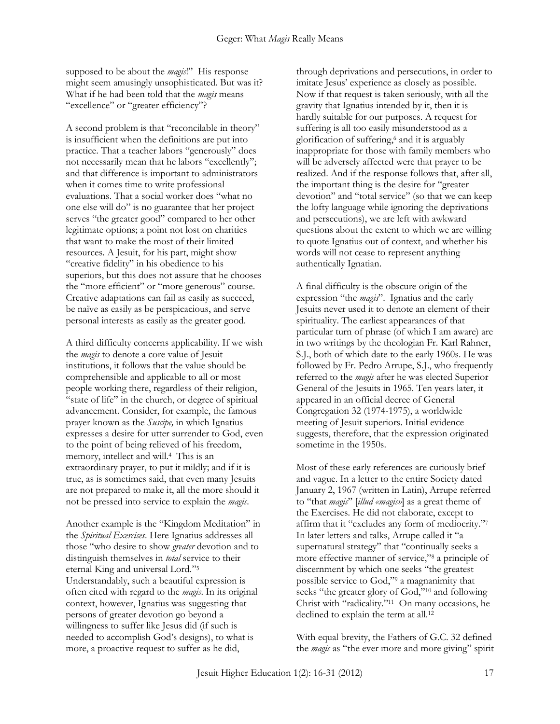supposed to be about the *magis*!" His response might seem amusingly unsophisticated. But was it? What if he had been told that the *magis* means "excellence" or "greater efficiency"?

A second problem is that "reconcilable in theory" is insufficient when the definitions are put into practice. That a teacher labors "generously" does not necessarily mean that he labors "excellently"; and that difference is important to administrators when it comes time to write professional evaluations. That a social worker does "what no one else will do" is no guarantee that her project serves "the greater good" compared to her other legitimate options; a point not lost on charities that want to make the most of their limited resources. A Jesuit, for his part, might show "creative fidelity" in his obedience to his superiors, but this does not assure that he chooses the "more efficient" or "more generous" course. Creative adaptations can fail as easily as succeed, be naïve as easily as be perspicacious, and serve personal interests as easily as the greater good.

A third difficulty concerns applicability. If we wish the *magis* to denote a core value of Jesuit institutions, it follows that the value should be comprehensible and applicable to all or most people working there, regardless of their religion, "state of life" in the church, or degree of spiritual advancement. Consider, for example, the famous prayer known as the *Suscipe,* in which Ignatius expresses a desire for utter surrender to God, even to the point of being relieved of his freedom, memory, intellect and will.<sup>4</sup> This is an extraordinary prayer, to put it mildly; and if it is true, as is sometimes said, that even many Jesuits are not prepared to make it, all the more should it not be pressed into service to explain the *magis*.

Another example is the "Kingdom Meditation" in the *Spiritual Exercises*. Here Ignatius addresses all those "who desire to show *greater* devotion and to distinguish themselves in *total* service to their eternal King and universal Lord."<sup>5</sup> Understandably, such a beautiful expression is often cited with regard to the *magis*. In its original context, however, Ignatius was suggesting that persons of greater devotion go beyond a willingness to suffer like Jesus did (if such is needed to accomplish God's designs), to what is more, a proactive request to suffer as he did,

through deprivations and persecutions, in order to imitate Jesus' experience as closely as possible. Now if that request is taken seriously, with all the gravity that Ignatius intended by it, then it is hardly suitable for our purposes. A request for suffering is all too easily misunderstood as a glorification of suffering,<sup>6</sup> and it is arguably inappropriate for those with family members who will be adversely affected were that prayer to be realized. And if the response follows that, after all, the important thing is the desire for "greater devotion" and "total service" (so that we can keep the lofty language while ignoring the deprivations and persecutions), we are left with awkward questions about the extent to which we are willing to quote Ignatius out of context, and whether his words will not cease to represent anything authentically Ignatian.

A final difficulty is the obscure origin of the expression "the *magis*". Ignatius and the early Jesuits never used it to denote an element of their spirituality. The earliest appearances of that particular turn of phrase (of which I am aware) are in two writings by the theologian Fr. Karl Rahner, S.J., both of which date to the early 1960s. He was followed by Fr. Pedro Arrupe, S.J., who frequently referred to the *magis* after he was elected Superior General of the Jesuits in 1965. Ten years later, it appeared in an official decree of General Congregation 32 (1974-1975), a worldwide meeting of Jesuit superiors. Initial evidence suggests, therefore, that the expression originated sometime in the 1950s.

Most of these early references are curiously brief and vague. In a letter to the entire Society dated January 2, 1967 (written in Latin), Arrupe referred to "that *magis*" [*illud «magis»*] as a great theme of the Exercises. He did not elaborate, except to affirm that it "excludes any form of mediocrity."<sup>7</sup> In later letters and talks, Arrupe called it "a supernatural strategy" that "continually seeks a more effective manner of service,"<sup>8</sup> a principle of discernment by which one seeks "the greatest possible service to God,"<sup>9</sup> a magnanimity that seeks "the greater glory of God,"<sup>10</sup> and following Christ with "radicality."<sup>11</sup> On many occasions, he declined to explain the term at all.<sup>12</sup>

With equal brevity, the Fathers of G.C. 32 defined the *magis* as "the ever more and more giving" spirit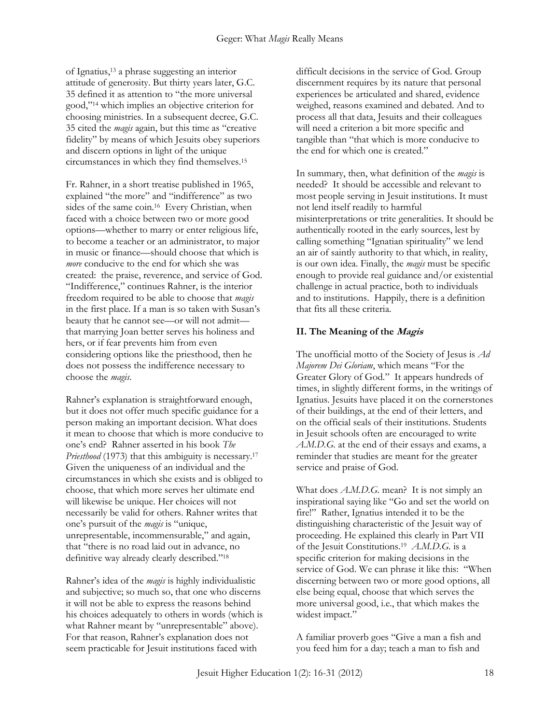of Ignatius,<sup>13</sup> a phrase suggesting an interior attitude of generosity. But thirty years later, G.C. 35 defined it as attention to "the more universal good,"<sup>14</sup> which implies an objective criterion for choosing ministries. In a subsequent decree, G.C. 35 cited the *magis* again, but this time as "creative fidelity" by means of which Jesuits obey superiors and discern options in light of the unique circumstances in which they find themselves.<sup>15</sup>

Fr. Rahner, in a short treatise published in 1965, explained "the more" and "indifference" as two sides of the same coin.<sup>16</sup> Every Christian, when faced with a choice between two or more good options—whether to marry or enter religious life, to become a teacher or an administrator, to major in music or finance—should choose that which is *more* conducive to the end for which she was created: the praise, reverence, and service of God. "Indifference," continues Rahner, is the interior freedom required to be able to choose that *magis*  in the first place. If a man is so taken with Susan's beauty that he cannot see—or will not admit that marrying Joan better serves his holiness and hers, or if fear prevents him from even considering options like the priesthood, then he does not possess the indifference necessary to choose the *magis*.

Rahner's explanation is straightforward enough, but it does not offer much specific guidance for a person making an important decision. What does it mean to choose that which is more conducive to one's end? Rahner asserted in his book *The Priesthood* (1973) that this ambiguity is necessary.<sup>17</sup> Given the uniqueness of an individual and the circumstances in which she exists and is obliged to choose, that which more serves her ultimate end will likewise be unique. Her choices will not necessarily be valid for others. Rahner writes that one's pursuit of the *magis* is "unique, unrepresentable, incommensurable," and again, that "there is no road laid out in advance, no definitive way already clearly described."<sup>18</sup>

Rahner's idea of the *magis* is highly individualistic and subjective; so much so, that one who discerns it will not be able to express the reasons behind his choices adequately to others in words (which is what Rahner meant by "unrepresentable" above). For that reason, Rahner's explanation does not seem practicable for Jesuit institutions faced with

difficult decisions in the service of God. Group discernment requires by its nature that personal experiences be articulated and shared, evidence weighed, reasons examined and debated. And to process all that data, Jesuits and their colleagues will need a criterion a bit more specific and tangible than "that which is more conducive to the end for which one is created."

In summary, then, what definition of the *magis* is needed? It should be accessible and relevant to most people serving in Jesuit institutions. It must not lend itself readily to harmful misinterpretations or trite generalities. It should be authentically rooted in the early sources, lest by calling something "Ignatian spirituality" we lend an air of saintly authority to that which, in reality, is our own idea. Finally, the *magis* must be specific enough to provide real guidance and/or existential challenge in actual practice, both to individuals and to institutions. Happily, there is a definition that fits all these criteria.

# **II. The Meaning of the Magis**

The unofficial motto of the Society of Jesus is *Ad Majorem Dei Gloriam*, which means "For the Greater Glory of God." It appears hundreds of times, in slightly different forms, in the writings of Ignatius. Jesuits have placed it on the cornerstones of their buildings, at the end of their letters, and on the official seals of their institutions. Students in Jesuit schools often are encouraged to write *A.M.D.G.* at the end of their essays and exams, a reminder that studies are meant for the greater service and praise of God.

What does *A.M.D.G.* mean? It is not simply an inspirational saying like "Go and set the world on fire!" Rather, Ignatius intended it to be the distinguishing characteristic of the Jesuit way of proceeding. He explained this clearly in Part VII of the Jesuit Constitutions.<sup>19</sup> *A.M.D.G.* is a specific criterion for making decisions in the service of God. We can phrase it like this: "When discerning between two or more good options, all else being equal, choose that which serves the more universal good, i.e., that which makes the widest impact."

A familiar proverb goes "Give a man a fish and you feed him for a day; teach a man to fish and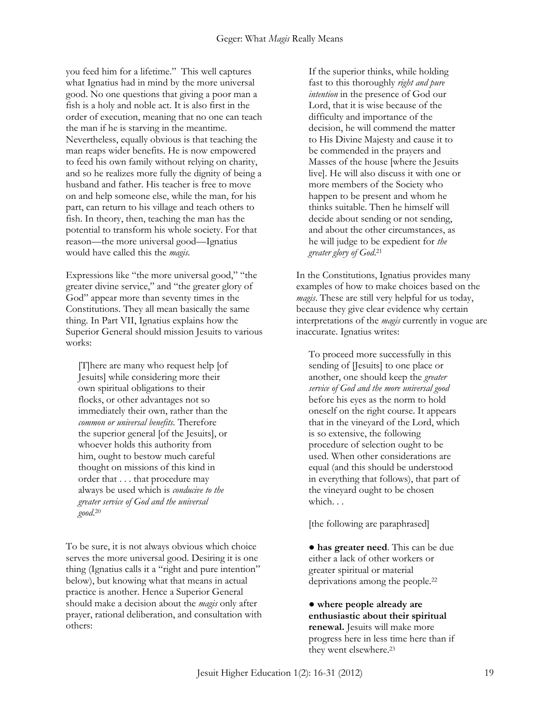you feed him for a lifetime." This well captures what Ignatius had in mind by the more universal good. No one questions that giving a poor man a fish is a holy and noble act. It is also first in the order of execution, meaning that no one can teach the man if he is starving in the meantime. Nevertheless, equally obvious is that teaching the man reaps wider benefits. He is now empowered to feed his own family without relying on charity, and so he realizes more fully the dignity of being a husband and father. His teacher is free to move on and help someone else, while the man, for his part, can return to his village and teach others to fish. In theory, then, teaching the man has the potential to transform his whole society. For that reason—the more universal good—Ignatius would have called this the *magis.*

Expressions like "the more universal good," "the greater divine service," and "the greater glory of God" appear more than seventy times in the Constitutions. They all mean basically the same thing. In Part VII, Ignatius explains how the Superior General should mission Jesuits to various works:

[T]here are many who request help [of Jesuits] while considering more their own spiritual obligations to their flocks, or other advantages not so immediately their own, rather than the *common or universal benefits*. Therefore the superior general [of the Jesuits], or whoever holds this authority from him, ought to bestow much careful thought on missions of this kind in order that . . . that procedure may always be used which is *conducive to the greater service of God and the universal good*. 20

To be sure, it is not always obvious which choice serves the more universal good. Desiring it is one thing (Ignatius calls it a "right and pure intention" below), but knowing what that means in actual practice is another. Hence a Superior General should make a decision about the *magis* only after prayer, rational deliberation, and consultation with others:

If the superior thinks, while holding fast to this thoroughly *right and pure intention* in the presence of God our Lord, that it is wise because of the difficulty and importance of the decision, he will commend the matter to His Divine Majesty and cause it to be commended in the prayers and Masses of the house [where the Jesuits live]. He will also discuss it with one or more members of the Society who happen to be present and whom he thinks suitable. Then he himself will decide about sending or not sending, and about the other circumstances, as he will judge to be expedient for *the greater glory of God*. 21

In the Constitutions, Ignatius provides many examples of how to make choices based on the *magis*. These are still very helpful for us today, because they give clear evidence why certain interpretations of the *magis* currently in vogue are inaccurate. Ignatius writes:

To proceed more successfully in this sending of [Jesuits] to one place or another, one should keep the *greater service of God and the more universal good* before his eyes as the norm to hold oneself on the right course. It appears that in the vineyard of the Lord, which is so extensive, the following procedure of selection ought to be used. When other considerations are equal (and this should be understood in everything that follows), that part of the vineyard ought to be chosen which. . .

[the following are paraphrased]

● **has greater need**. This can be due either a lack of other workers or greater spiritual or material deprivations among the people.<sup>22</sup>

● **where people already are enthusiastic about their spiritual renewal.** Jesuits will make more progress here in less time here than if they went elsewhere.23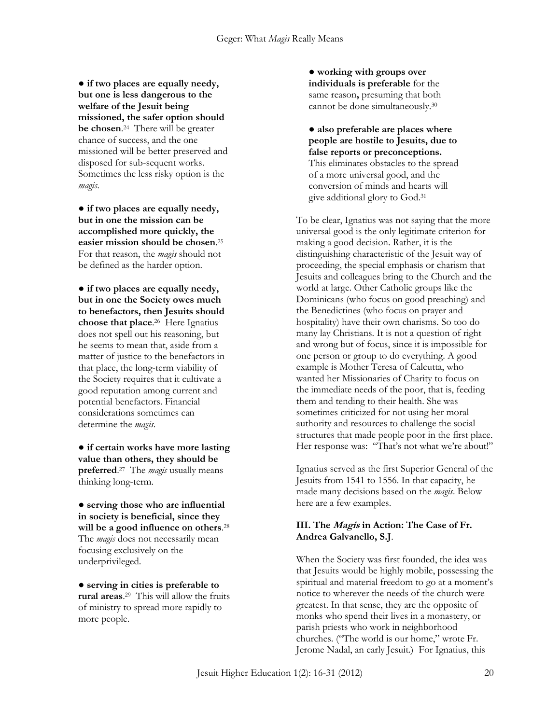● **if two places are equally needy, but one is less dangerous to the welfare of the Jesuit being missioned, the safer option should be chosen**. 24 There will be greater chance of success, and the one missioned will be better preserved and disposed for sub-sequent works. Sometimes the less risky option is the *magis*.

**● if two places are equally needy, but in one the mission can be accomplished more quickly, the easier mission should be chosen**. 25 For that reason, the *magis* should not be defined as the harder option.

**● if two places are equally needy, but in one the Society owes much to benefactors, then Jesuits should choose that place**. 26 Here Ignatius does not spell out his reasoning, but he seems to mean that, aside from a matter of justice to the benefactors in that place, the long-term viability of the Society requires that it cultivate a good reputation among current and potential benefactors. Financial considerations sometimes can determine the *magis*.

**● if certain works have more lasting value than others, they should be preferred**. 27 The *magis* usually means thinking long-term.

**● serving those who are influential in society is beneficial, since they will be a good influence on others**. 28 The *magis* does not necessarily mean focusing exclusively on the underprivileged.

**● serving in cities is preferable to rural areas**. 29 This will allow the fruits of ministry to spread more rapidly to more people.

**● working with groups over individuals is preferable** for the same reason**,** presuming that both cannot be done simultaneously.<sup>30</sup>

**● also preferable are places where people are hostile to Jesuits, due to false reports or preconceptions.**  This eliminates obstacles to the spread of a more universal good, and the conversion of minds and hearts will give additional glory to God.<sup>31</sup>

To be clear, Ignatius was not saying that the more universal good is the only legitimate criterion for making a good decision. Rather, it is the distinguishing characteristic of the Jesuit way of proceeding, the special emphasis or charism that Jesuits and colleagues bring to the Church and the world at large. Other Catholic groups like the Dominicans (who focus on good preaching) and the Benedictines (who focus on prayer and hospitality) have their own charisms. So too do many lay Christians. It is not a question of right and wrong but of focus, since it is impossible for one person or group to do everything. A good example is Mother Teresa of Calcutta, who wanted her Missionaries of Charity to focus on the immediate needs of the poor, that is, feeding them and tending to their health. She was sometimes criticized for not using her moral authority and resources to challenge the social structures that made people poor in the first place. Her response was: "That's not what we're about!"

Ignatius served as the first Superior General of the Jesuits from 1541 to 1556. In that capacity, he made many decisions based on the *magis*. Below here are a few examples.

## **III. The Magis in Action: The Case of Fr. Andrea Galvanello, S.J**.

When the Society was first founded, the idea was that Jesuits would be highly mobile, possessing the spiritual and material freedom to go at a moment's notice to wherever the needs of the church were greatest. In that sense, they are the opposite of monks who spend their lives in a monastery, or parish priests who work in neighborhood churches. ("The world is our home," wrote Fr. Jerome Nadal, an early Jesuit.) For Ignatius, this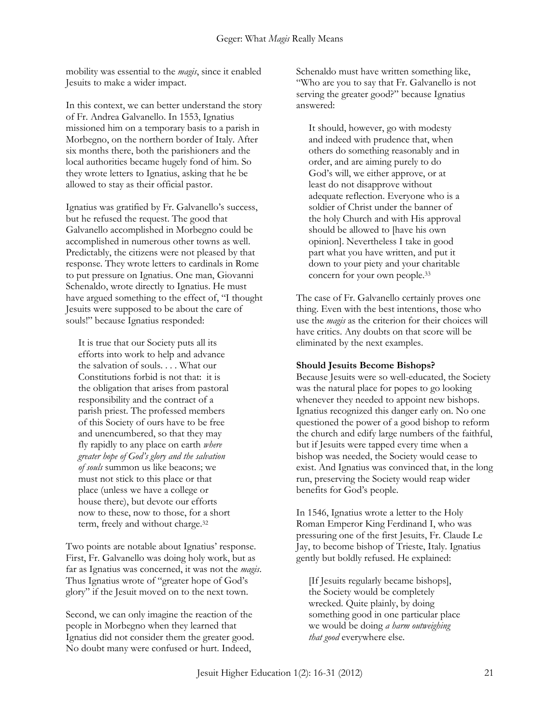mobility was essential to the *magis*, since it enabled Jesuits to make a wider impact.

In this context, we can better understand the story of Fr. Andrea Galvanello. In 1553, Ignatius missioned him on a temporary basis to a parish in Morbegno, on the northern border of Italy. After six months there, both the parishioners and the local authorities became hugely fond of him. So they wrote letters to Ignatius, asking that he be allowed to stay as their official pastor.

Ignatius was gratified by Fr. Galvanello's success, but he refused the request. The good that Galvanello accomplished in Morbegno could be accomplished in numerous other towns as well. Predictably, the citizens were not pleased by that response. They wrote letters to cardinals in Rome to put pressure on Ignatius. One man, Giovanni Schenaldo, wrote directly to Ignatius. He must have argued something to the effect of, "I thought Jesuits were supposed to be about the care of souls!" because Ignatius responded:

It is true that our Society puts all its efforts into work to help and advance the salvation of souls. . . . What our Constitutions forbid is not that: it is the obligation that arises from pastoral responsibility and the contract of a parish priest. The professed members of this Society of ours have to be free and unencumbered, so that they may fly rapidly to any place on earth *where greater hope of God's glory and the salvation of souls* summon us like beacons; we must not stick to this place or that place (unless we have a college or house there), but devote our efforts now to these, now to those, for a short term, freely and without charge.<sup>32</sup>

Two points are notable about Ignatius' response. First, Fr. Galvanello was doing holy work, but as far as Ignatius was concerned, it was not the *magis*. Thus Ignatius wrote of "greater hope of God's glory" if the Jesuit moved on to the next town.

Second, we can only imagine the reaction of the people in Morbegno when they learned that Ignatius did not consider them the greater good. No doubt many were confused or hurt. Indeed,

Schenaldo must have written something like, "Who are you to say that Fr. Galvanello is not serving the greater good?" because Ignatius answered:

It should, however, go with modesty and indeed with prudence that, when others do something reasonably and in order, and are aiming purely to do God's will, we either approve, or at least do not disapprove without adequate reflection. Everyone who is a soldier of Christ under the banner of the holy Church and with His approval should be allowed to [have his own opinion]. Nevertheless I take in good part what you have written, and put it down to your piety and your charitable concern for your own people.<sup>33</sup>

The case of Fr. Galvanello certainly proves one thing. Even with the best intentions, those who use the *magis* as the criterion for their choices will have critics. Any doubts on that score will be eliminated by the next examples.

#### **Should Jesuits Become Bishops?**

Because Jesuits were so well-educated, the Society was the natural place for popes to go looking whenever they needed to appoint new bishops. Ignatius recognized this danger early on. No one questioned the power of a good bishop to reform the church and edify large numbers of the faithful, but if Jesuits were tapped every time when a bishop was needed, the Society would cease to exist. And Ignatius was convinced that, in the long run, preserving the Society would reap wider benefits for God's people.

In 1546, Ignatius wrote a letter to the Holy Roman Emperor King Ferdinand I, who was pressuring one of the first Jesuits, Fr. Claude Le Jay, to become bishop of Trieste, Italy. Ignatius gently but boldly refused. He explained:

[If Jesuits regularly became bishops], the Society would be completely wrecked. Quite plainly, by doing something good in one particular place we would be doing *a harm outweighing that good* everywhere else.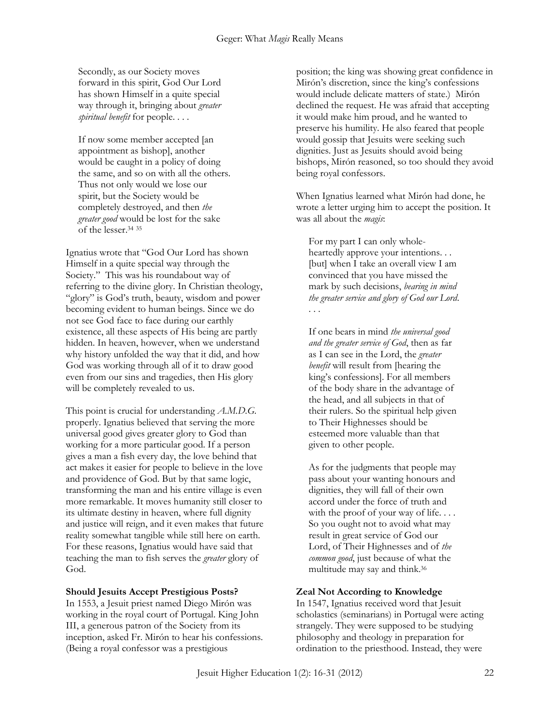Secondly, as our Society moves forward in this spirit, God Our Lord has shown Himself in a quite special way through it, bringing about *greater spiritual benefit* for people. . . .

If now some member accepted [an appointment as bishop], another would be caught in a policy of doing the same, and so on with all the others. Thus not only would we lose our spirit, but the Society would be completely destroyed, and then *the greater good* would be lost for the sake of the lesser. 34 35

Ignatius wrote that "God Our Lord has shown Himself in a quite special way through the Society." This was his roundabout way of referring to the divine glory. In Christian theology, "glory" is God's truth, beauty, wisdom and power becoming evident to human beings. Since we do not see God face to face during our earthly existence, all these aspects of His being are partly hidden. In heaven, however, when we understand why history unfolded the way that it did, and how God was working through all of it to draw good even from our sins and tragedies, then His glory will be completely revealed to us.

This point is crucial for understanding *A.M.D.G.* properly. Ignatius believed that serving the more universal good gives greater glory to God than working for a more particular good. If a person gives a man a fish every day, the love behind that act makes it easier for people to believe in the love and providence of God. But by that same logic, transforming the man and his entire village is even more remarkable. It moves humanity still closer to its ultimate destiny in heaven, where full dignity and justice will reign, and it even makes that future reality somewhat tangible while still here on earth. For these reasons, Ignatius would have said that teaching the man to fish serves the *greater* glory of God.

#### **Should Jesuits Accept Prestigious Posts?**

In 1553, a Jesuit priest named Diego Mirón was working in the royal court of Portugal. King John III, a generous patron of the Society from its inception, asked Fr. Mirón to hear his confessions. (Being a royal confessor was a prestigious

position; the king was showing great confidence in Mirón's discretion, since the king's confessions would include delicate matters of state.) Mirón declined the request. He was afraid that accepting it would make him proud, and he wanted to preserve his humility. He also feared that people would gossip that Jesuits were seeking such dignities. Just as Jesuits should avoid being bishops, Mirón reasoned, so too should they avoid being royal confessors.

When Ignatius learned what Mirón had done, he wrote a letter urging him to accept the position. It was all about the *magis*:

For my part I can only wholeheartedly approve your intentions. . . [but] when I take an overall view I am convinced that you have missed the mark by such decisions, *bearing in mind the greater service and glory of God our Lord*. . . .

If one bears in mind *the universal good and the greater service of God*, then as far as I can see in the Lord, the *greater benefit* will result from [hearing the king's confessions]. For all members of the body share in the advantage of the head, and all subjects in that of their rulers. So the spiritual help given to Their Highnesses should be esteemed more valuable than that given to other people.

As for the judgments that people may pass about your wanting honours and dignities, they will fall of their own accord under the force of truth and with the proof of your way of life.... So you ought not to avoid what may result in great service of God our Lord, of Their Highnesses and of *the common good*, just because of what the multitude may say and think.<sup>36</sup>

#### **Zeal Not According to Knowledge**

In 1547, Ignatius received word that Jesuit scholastics (seminarians) in Portugal were acting strangely. They were supposed to be studying philosophy and theology in preparation for ordination to the priesthood. Instead, they were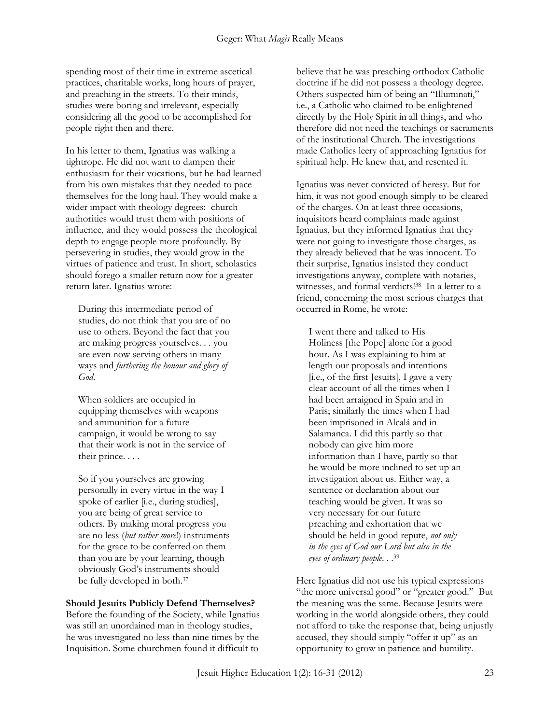spending most of their time in extreme ascetical practices, charitable works, long hours of prayer, and preaching in the streets. To their minds, studies were boring and irrelevant, especially considering all the good to be accomplished for people right then and there.

In his letter to them, Ignatius was walking a tightrope. He did not want to dampen their enthusiasm for their vocations, but he had learned from his own mistakes that they needed to pace themselves for the long haul. They would make a wider impact with theology degrees: church authorities would trust them with positions of influence, and they would possess the theological depth to engage people more profoundly. By persevering in studies, they would grow in the virtues of patience and trust. In short, scholastics should forego a smaller return now for a greater return later. Ignatius wrote:

During this intermediate period of studies, do not think that you are of no use to others. Beyond the fact that you are making progress yourselves. . . you are even now serving others in many ways and *furthering the honour and glory of God*.

When soldiers are occupied in equipping themselves with weapons and ammunition for a future campaign, it would be wrong to say that their work is not in the service of their prince. . . .

So if you yourselves are growing personally in every virtue in the way I spoke of earlier [i.e., during studies], you are being of great service to others. By making moral progress you are no less (*but rather more*!) instruments for the grace to be conferred on them than you are by your learning, though obviously God's instruments should be fully developed in both.<sup>37</sup>

#### **Should Jesuits Publicly Defend Themselves?**

Before the founding of the Society, while Ignatius was still an unordained man in theology studies, he was investigated no less than nine times by the Inquisition. Some churchmen found it difficult to

believe that he was preaching orthodox Catholic doctrine if he did not possess a theology degree. Others suspected him of being an "Illuminati," i.e., a Catholic who claimed to be enlightened directly by the Holy Spirit in all things, and who therefore did not need the teachings or sacraments of the institutional Church. The investigations made Catholics leery of approaching Ignatius for spiritual help. He knew that, and resented it.

Ignatius was never convicted of heresy. But for him, it was not good enough simply to be cleared of the charges. On at least three occasions, inquisitors heard complaints made against Ignatius, but they informed Ignatius that they were not going to investigate those charges, as they already believed that he was innocent. To their surprise, Ignatius insisted they conduct investigations anyway, complete with notaries, witnesses, and formal verdicts!<sup>38</sup> In a letter to a friend, concerning the most serious charges that occurred in Rome, he wrote:

I went there and talked to His Holiness [the Pope] alone for a good hour. As I was explaining to him at length our proposals and intentions [i.e., of the first Jesuits], I gave a very clear account of all the times when I had been arraigned in Spain and in Paris; similarly the times when I had been imprisoned in Alcalá and in Salamanca. I did this partly so that nobody can give him more information than I have, partly so that he would be more inclined to set up an investigation about us. Either way, a sentence or declaration about our teaching would be given. It was so very necessary for our future preaching and exhortation that we should be held in good repute, *not only in the eyes of God our Lord but also in the eyes of ordinary people*. . . 39

Here Ignatius did not use his typical expressions "the more universal good" or "greater good." But the meaning was the same. Because Jesuits were working in the world alongside others, they could not afford to take the response that, being unjustly accused, they should simply "offer it up" as an opportunity to grow in patience and humility.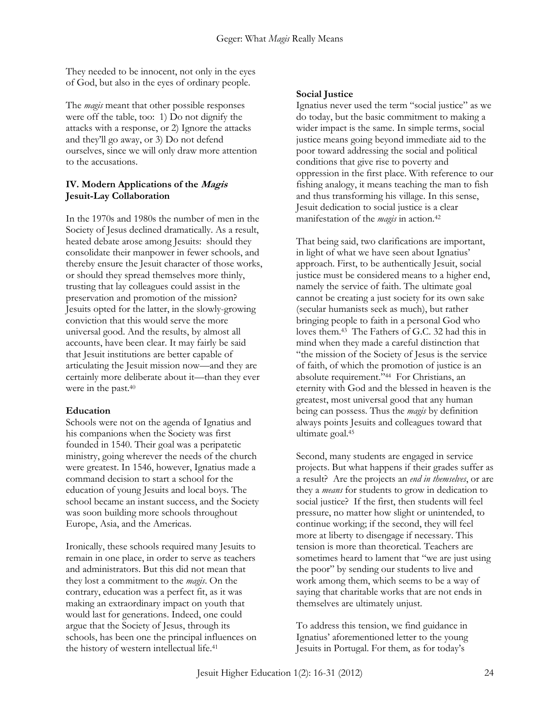They needed to be innocent, not only in the eyes of God, but also in the eyes of ordinary people.

The *magis* meant that other possible responses were off the table, too: 1) Do not dignify the attacks with a response, or 2) Ignore the attacks and they'll go away, or 3) Do not defend ourselves, since we will only draw more attention to the accusations.

#### **IV. Modern Applications of the Magis Jesuit-Lay Collaboration**

In the 1970s and 1980s the number of men in the Society of Jesus declined dramatically. As a result, heated debate arose among Jesuits: should they consolidate their manpower in fewer schools, and thereby ensure the Jesuit character of those works, or should they spread themselves more thinly, trusting that lay colleagues could assist in the preservation and promotion of the mission? Jesuits opted for the latter, in the slowly-growing conviction that this would serve the more universal good. And the results, by almost all accounts, have been clear. It may fairly be said that Jesuit institutions are better capable of articulating the Jesuit mission now—and they are certainly more deliberate about it—than they ever were in the past.<sup>40</sup>

#### **Education**

Schools were not on the agenda of Ignatius and his companions when the Society was first founded in 1540. Their goal was a peripatetic ministry, going wherever the needs of the church were greatest. In 1546, however, Ignatius made a command decision to start a school for the education of young Jesuits and local boys. The school became an instant success, and the Society was soon building more schools throughout Europe, Asia, and the Americas.

Ironically, these schools required many Jesuits to remain in one place, in order to serve as teachers and administrators. But this did not mean that they lost a commitment to the *magis*. On the contrary, education was a perfect fit, as it was making an extraordinary impact on youth that would last for generations. Indeed, one could argue that the Society of Jesus, through its schools, has been one the principal influences on the history of western intellectual life.<sup>41</sup>

#### **Social Justice**

Ignatius never used the term "social justice" as we do today, but the basic commitment to making a wider impact is the same. In simple terms, social justice means going beyond immediate aid to the poor toward addressing the social and political conditions that give rise to poverty and oppression in the first place. With reference to our fishing analogy, it means teaching the man to fish and thus transforming his village. In this sense, Jesuit dedication to social justice is a clear manifestation of the *magis* in action.<sup>42</sup>

That being said, two clarifications are important, in light of what we have seen about Ignatius' approach. First, to be authentically Jesuit, social justice must be considered means to a higher end, namely the service of faith. The ultimate goal cannot be creating a just society for its own sake (secular humanists seek as much), but rather bringing people to faith in a personal God who loves them.<sup>43</sup> The Fathers of G.C. 32 had this in mind when they made a careful distinction that "the mission of the Society of Jesus is the service of faith, of which the promotion of justice is an absolute requirement."<sup>44</sup> For Christians, an eternity with God and the blessed in heaven is the greatest, most universal good that any human being can possess. Thus the *magis* by definition always points Jesuits and colleagues toward that ultimate goal.<sup>45</sup>

Second, many students are engaged in service projects. But what happens if their grades suffer as a result? Are the projects an *end in themselves*, or are they a *means* for students to grow in dedication to social justice? If the first, then students will feel pressure, no matter how slight or unintended, to continue working; if the second, they will feel more at liberty to disengage if necessary. This tension is more than theoretical. Teachers are sometimes heard to lament that "we are just using the poor" by sending our students to live and work among them, which seems to be a way of saying that charitable works that are not ends in themselves are ultimately unjust.

To address this tension, we find guidance in Ignatius' aforementioned letter to the young Jesuits in Portugal. For them, as for today's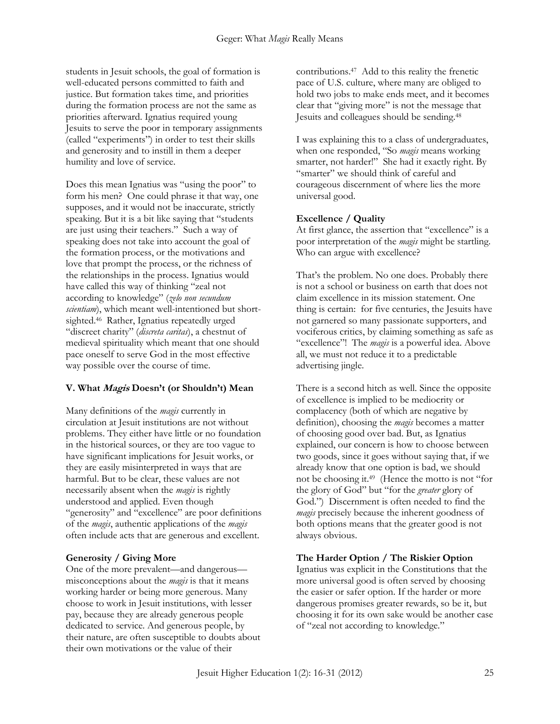students in Jesuit schools, the goal of formation is well-educated persons committed to faith and justice. But formation takes time, and priorities during the formation process are not the same as priorities afterward. Ignatius required young Jesuits to serve the poor in temporary assignments (called "experiments") in order to test their skills and generosity and to instill in them a deeper humility and love of service.

Does this mean Ignatius was "using the poor" to form his men? One could phrase it that way, one supposes, and it would not be inaccurate, strictly speaking. But it is a bit like saying that "students are just using their teachers." Such a way of speaking does not take into account the goal of the formation process, or the motivations and love that prompt the process, or the richness of the relationships in the process. Ignatius would have called this way of thinking "zeal not according to knowledge" (*zelo non secundum scientiam*), which meant well-intentioned but shortsighted.<sup>46</sup> Rather, Ignatius repeatedly urged "discreet charity" (*discreta caritas*), a chestnut of medieval spirituality which meant that one should pace oneself to serve God in the most effective way possible over the course of time.

#### **V. What Magis Doesn't (or Shouldn't) Mean**

Many definitions of the *magis* currently in circulation at Jesuit institutions are not without problems. They either have little or no foundation in the historical sources, or they are too vague to have significant implications for Jesuit works, or they are easily misinterpreted in ways that are harmful. But to be clear, these values are not necessarily absent when the *magis* is rightly understood and applied. Even though "generosity" and "excellence" are poor definitions of the *magis*, authentic applications of the *magis* often include acts that are generous and excellent.

## **Generosity / Giving More**

One of the more prevalent—and dangerous misconceptions about the *magis* is that it means working harder or being more generous. Many choose to work in Jesuit institutions, with lesser pay, because they are already generous people dedicated to service. And generous people, by their nature, are often susceptible to doubts about their own motivations or the value of their

contributions.<sup>47</sup> Add to this reality the frenetic pace of U.S. culture, where many are obliged to hold two jobs to make ends meet, and it becomes clear that "giving more" is not the message that Jesuits and colleagues should be sending.<sup>48</sup>

I was explaining this to a class of undergraduates, when one responded, "So *magis* means working smarter, not harder!" She had it exactly right. By "smarter" we should think of careful and courageous discernment of where lies the more universal good.

## **Excellence / Quality**

At first glance, the assertion that "excellence" is a poor interpretation of the *magis* might be startling. Who can argue with excellence?

That's the problem. No one does. Probably there is not a school or business on earth that does not claim excellence in its mission statement. One thing is certain: for five centuries, the Jesuits have not garnered so many passionate supporters, and vociferous critics, by claiming something as safe as "excellence"! The *magis* is a powerful idea. Above all, we must not reduce it to a predictable advertising jingle.

There is a second hitch as well. Since the opposite of excellence is implied to be mediocrity or complacency (both of which are negative by definition), choosing the *magis* becomes a matter of choosing good over bad. But, as Ignatius explained, our concern is how to choose between two goods, since it goes without saying that, if we already know that one option is bad, we should not be choosing it.<sup>49</sup> (Hence the motto is not "for the glory of God" but "for the *greater* glory of God.") Discernment is often needed to find the *magis* precisely because the inherent goodness of both options means that the greater good is not always obvious.

## **The Harder Option / The Riskier Option**

Ignatius was explicit in the Constitutions that the more universal good is often served by choosing the easier or safer option. If the harder or more dangerous promises greater rewards, so be it, but choosing it for its own sake would be another case of "zeal not according to knowledge."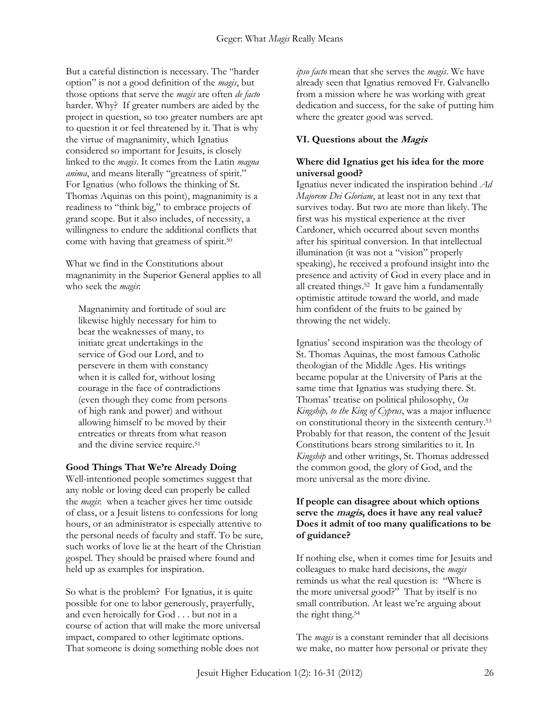But a careful distinction is necessary. The "harder option" is not a good definition of the *magis*, but those options that serve the *magis* are often *de facto* harder. Why? If greater numbers are aided by the project in question, so too greater numbers are apt to question it or feel threatened by it. That is why the virtue of magnanimity, which Ignatius considered so important for Jesuits, is closely linked to the *magis*. It comes from the Latin *magna anima*, and means literally "greatness of spirit." For Ignatius (who follows the thinking of St. Thomas Aquinas on this point), magnanimity is a readiness to "think big," to embrace projects of grand scope. But it also includes, of necessity, a willingness to endure the additional conflicts that come with having that greatness of spirit.<sup>50</sup>

What we find in the Constitutions about magnanimity in the Superior General applies to all who seek the *magis*:

Magnanimity and fortitude of soul are likewise highly necessary for him to bear the weaknesses of many, to initiate great undertakings in the service of God our Lord, and to persevere in them with constancy when it is called for, without losing courage in the face of contradictions (even though they come from persons of high rank and power) and without allowing himself to be moved by their entreaties or threats from what reason and the divine service require.<sup>51</sup>

#### **Good Things That We're Already Doing**

Well-intentioned people sometimes suggest that any noble or loving deed can properly be called the *magis*: when a teacher gives her time outside of class, or a Jesuit listens to confessions for long hours, or an administrator is especially attentive to the personal needs of faculty and staff. To be sure, such works of love lie at the heart of the Christian gospel. They should be praised where found and held up as examples for inspiration.

So what is the problem? For Ignatius, it is quite possible for one to labor generously, prayerfully, and even heroically for God . . . but not in a course of action that will make the more universal impact, compared to other legitimate options. That someone is doing something noble does not

*ipso facto* mean that she serves the *magis*. We have already seen that Ignatius removed Fr. Galvanello from a mission where he was working with great dedication and success, for the sake of putting him where the greater good was served.

### **VI. Questions about the Magis**

#### **Where did Ignatius get his idea for the more universal good?**

Ignatius never indicated the inspiration behind *Ad Majorem Dei Gloriam*, at least not in any text that survives today. But two are more than likely. The first was his mystical experience at the river Cardoner, which occurred about seven months after his spiritual conversion. In that intellectual illumination (it was not a "vision" properly speaking), he received a profound insight into the presence and activity of God in every place and in all created things.<sup>52</sup> It gave him a fundamentally optimistic attitude toward the world, and made him confident of the fruits to be gained by throwing the net widely.

Ignatius' second inspiration was the theology of St. Thomas Aquinas, the most famous Catholic theologian of the Middle Ages. His writings became popular at the University of Paris at the same time that Ignatius was studying there. St. Thomas' treatise on political philosophy, *On Kingship, to the King of Cyprus*, was a major influence on constitutional theory in the sixteenth century.<sup>53</sup> Probably for that reason, the content of the Jesuit Constitutions bears strong similarities to it. In *Kingship* and other writings, St. Thomas addressed the common good, the glory of God, and the more universal as the more divine.

#### **If people can disagree about which options serve the magis, does it have any real value? Does it admit of too many qualifications to be of guidance?**

If nothing else, when it comes time for Jesuits and colleagues to make hard decisions, the *magis*  reminds us what the real question is: "Where is the more universal good?" That by itself is no small contribution. At least we're arguing about the right thing.<sup>54</sup>

The *magis* is a constant reminder that all decisions we make, no matter how personal or private they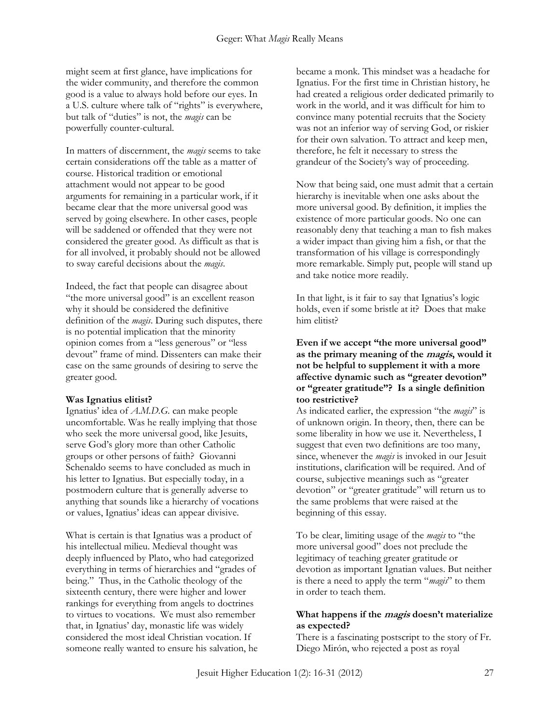might seem at first glance, have implications for the wider community, and therefore the common good is a value to always hold before our eyes. In a U.S. culture where talk of "rights" is everywhere, but talk of "duties" is not, the *magis* can be powerfully counter-cultural.

In matters of discernment, the *magis* seems to take certain considerations off the table as a matter of course. Historical tradition or emotional attachment would not appear to be good arguments for remaining in a particular work, if it became clear that the more universal good was served by going elsewhere. In other cases, people will be saddened or offended that they were not considered the greater good. As difficult as that is for all involved, it probably should not be allowed to sway careful decisions about the *magis*.

Indeed, the fact that people can disagree about "the more universal good" is an excellent reason why it should be considered the definitive definition of the *magis*. During such disputes, there is no potential implication that the minority opinion comes from a "less generous" or "less devout" frame of mind. Dissenters can make their case on the same grounds of desiring to serve the greater good.

#### **Was Ignatius elitist?**

Ignatius' idea of *A.M.D.G.* can make people uncomfortable. Was he really implying that those who seek the more universal good, like Jesuits, serve God's glory more than other Catholic groups or other persons of faith? Giovanni Schenaldo seems to have concluded as much in his letter to Ignatius. But especially today, in a postmodern culture that is generally adverse to anything that sounds like a hierarchy of vocations or values, Ignatius' ideas can appear divisive.

What is certain is that Ignatius was a product of his intellectual milieu. Medieval thought was deeply influenced by Plato, who had categorized everything in terms of hierarchies and "grades of being." Thus, in the Catholic theology of the sixteenth century, there were higher and lower rankings for everything from angels to doctrines to virtues to vocations. We must also remember that, in Ignatius' day, monastic life was widely considered the most ideal Christian vocation. If someone really wanted to ensure his salvation, he became a monk. This mindset was a headache for Ignatius. For the first time in Christian history, he had created a religious order dedicated primarily to work in the world, and it was difficult for him to convince many potential recruits that the Society was not an inferior way of serving God, or riskier for their own salvation. To attract and keep men, therefore, he felt it necessary to stress the grandeur of the Society's way of proceeding.

Now that being said, one must admit that a certain hierarchy is inevitable when one asks about the more universal good. By definition, it implies the existence of more particular goods. No one can reasonably deny that teaching a man to fish makes a wider impact than giving him a fish, or that the transformation of his village is correspondingly more remarkable. Simply put, people will stand up and take notice more readily.

In that light, is it fair to say that Ignatius's logic holds, even if some bristle at it? Does that make him elitist?

#### **Even if we accept "the more universal good" as the primary meaning of the magis, would it not be helpful to supplement it with a more affective dynamic such as "greater devotion" or "greater gratitude"? Is a single definition too restrictive?**

As indicated earlier, the expression "the *magis*" is of unknown origin. In theory, then, there can be some liberality in how we use it. Nevertheless, I suggest that even two definitions are too many, since, whenever the *magis* is invoked in our Jesuit institutions, clarification will be required. And of course, subjective meanings such as "greater devotion" or "greater gratitude" will return us to the same problems that were raised at the beginning of this essay.

To be clear, limiting usage of the *magis* to "the more universal good" does not preclude the legitimacy of teaching greater gratitude or devotion as important Ignatian values. But neither is there a need to apply the term "*magis*" to them in order to teach them.

#### **What happens if the magis doesn't materialize as expected?**

There is a fascinating postscript to the story of Fr. Diego Mirón, who rejected a post as royal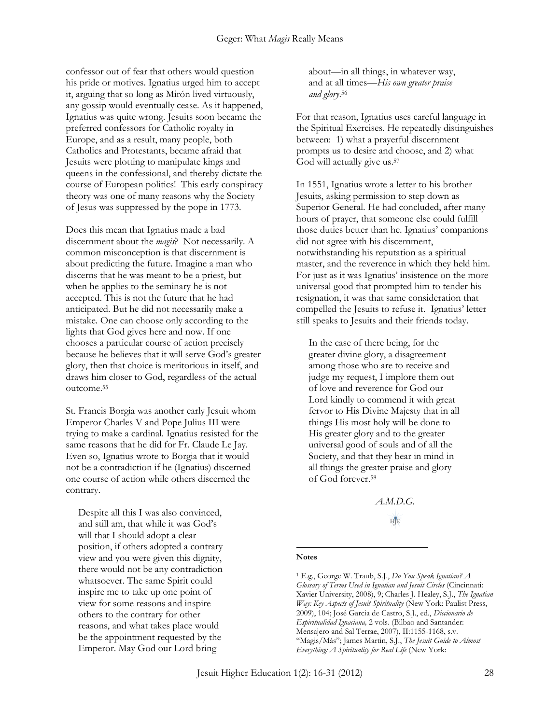confessor out of fear that others would question his pride or motives. Ignatius urged him to accept it, arguing that so long as Mirón lived virtuously, any gossip would eventually cease. As it happened, Ignatius was quite wrong. Jesuits soon became the preferred confessors for Catholic royalty in Europe, and as a result, many people, both Catholics and Protestants, became afraid that Jesuits were plotting to manipulate kings and queens in the confessional, and thereby dictate the course of European politics! This early conspiracy theory was one of many reasons why the Society of Jesus was suppressed by the pope in 1773.

Does this mean that Ignatius made a bad discernment about the *magis*? Not necessarily. A common misconception is that discernment is about predicting the future. Imagine a man who discerns that he was meant to be a priest, but when he applies to the seminary he is not accepted. This is not the future that he had anticipated. But he did not necessarily make a mistake. One can choose only according to the lights that God gives here and now. If one chooses a particular course of action precisely because he believes that it will serve God's greater glory, then that choice is meritorious in itself, and draws him closer to God, regardless of the actual outcome.<sup>55</sup>

St. Francis Borgia was another early Jesuit whom Emperor Charles V and Pope Julius III were trying to make a cardinal. Ignatius resisted for the same reasons that he did for Fr. Claude Le Jay. Even so, Ignatius wrote to Borgia that it would not be a contradiction if he (Ignatius) discerned one course of action while others discerned the contrary.

Despite all this I was also convinced, and still am, that while it was God's will that I should adopt a clear position, if others adopted a contrary view and you were given this dignity, there would not be any contradiction whatsoever. The same Spirit could inspire me to take up one point of view for some reasons and inspire others to the contrary for other reasons, and what takes place would be the appointment requested by the Emperor. May God our Lord bring

about—in all things, in whatever way, and at all times—*His own greater praise and glory*. 56

For that reason, Ignatius uses careful language in the Spiritual Exercises. He repeatedly distinguishes between: 1) what a prayerful discernment prompts us to desire and choose, and 2) what God will actually give us.<sup>57</sup>

In 1551, Ignatius wrote a letter to his brother Jesuits, asking permission to step down as Superior General. He had concluded, after many hours of prayer, that someone else could fulfill those duties better than he. Ignatius' companions did not agree with his discernment, notwithstanding his reputation as a spiritual master, and the reverence in which they held him. For just as it was Ignatius' insistence on the more universal good that prompted him to tender his resignation, it was that same consideration that compelled the Jesuits to refuse it. Ignatius' letter still speaks to Jesuits and their friends today.

In the case of there being, for the greater divine glory, a disagreement among those who are to receive and judge my request, I implore them out of love and reverence for God our Lord kindly to commend it with great fervor to His Divine Majesty that in all things His most holy will be done to His greater glory and to the greater universal good of souls and of all the Society, and that they bear in mind in all things the greater praise and glory of God forever.<sup>58</sup>

> *A.M.D.G.* HIE

#### **Notes**

 $\overline{a}$ 

<sup>1</sup> E.g., George W. Traub, S.J., *Do You Speak Ignatian? A Glossary of Terms Used in Ignatian and Jesuit Circles* (Cincinnati: Xavier University, 2008), 9; Charles J. Healey, S.J., *The Ignatian Way: Key Aspects of Jesuit Spirituality* (New York: Paulist Press, 2009), 104; José Garcia de Castro, S.J., ed., *Diccionario de Espiritualidad Ignaciana,* 2 vols. (Bilbao and Santander: Mensajero and Sal Terrae, 2007), II:1155-1168, s.v. "Magis/Más"; James Martin, S.J., *The Jesuit Guide to Almost Everything: A Spirituality for Real Life* (New York: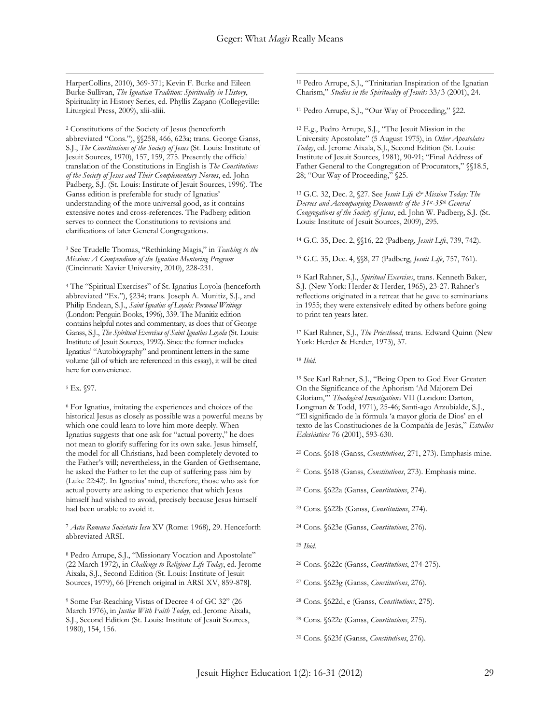$\overline{a}$ 

HarperCollins, 2010), 369-371; Kevin F. Burke and Eileen Burke-Sullivan, *The Ignatian Tradition: Spirituality in History*, Spirituality in History Series, ed. Phyllis Zagano (Collegeville: Liturgical Press, 2009), xlii-xliii.

<sup>2</sup> Constitutions of the Society of Jesus (henceforth abbreviated "Cons."), §§258, 466, 623a; trans. George Ganss, S.J., *The Constitutions of the Society of Jesus* (St. Louis: Institute of Jesuit Sources, 1970), 157, 159, 275. Presently the official translation of the Constitutions in English is *The Constitutions of the Society of Jesus and Their Complementary Norms*, ed. John Padberg, S.J. (St. Louis: Institute of Jesuit Sources, 1996). The Ganss edition is preferable for study of Ignatius' understanding of the more universal good, as it contains extensive notes and cross-references. The Padberg edition serves to connect the Constitutions to revisions and clarifications of later General Congregations.

<sup>3</sup> See Trudelle Thomas, "Rethinking Magis," in *Teaching to the Mission: A Compendium of the Ignatian Mentoring Program* (Cincinnati: Xavier University, 2010), 228-231.

<sup>4</sup> The "Spiritual Exercises" of St. Ignatius Loyola (henceforth abbreviated "Ex."), §234; trans. Joseph A. Munitiz, S.J., and Philip Endean, S.J., *Saint Ignatius of Loyola: Personal Writings* (London: Penguin Books, 1996), 339. The Munitiz edition contains helpful notes and commentary, as does that of George Ganss, S.J., *The Spiritual Exercises of Saint Ignatius Loyola* (St. Louis: Institute of Jesuit Sources, 1992). Since the former includes Ignatius' "Autobiography" and prominent letters in the same volume (all of which are referenced in this essay), it will be cited here for convenience.

<sup>5</sup> Ex. §97.

 $\overline{a}$ 

<sup>6</sup> For Ignatius, imitating the experiences and choices of the historical Jesus as closely as possible was a powerful means by which one could learn to love him more deeply. When Ignatius suggests that one ask for "actual poverty," he does not mean to glorify suffering for its own sake. Jesus himself, the model for all Christians, had been completely devoted to the Father's will; nevertheless, in the Garden of Gethsemane, he asked the Father to let the cup of suffering pass him by (Luke 22:42). In Ignatius' mind, therefore, those who ask for actual poverty are asking to experience that which Jesus himself had wished to avoid, precisely because Jesus himself had been unable to avoid it.

<sup>7</sup> *Acta Romana Societatis Iesu* XV (Rome: 1968), 29. Henceforth abbreviated ARSI.

<sup>8</sup> Pedro Arrupe, S.J., "Missionary Vocation and Apostolate" (22 March 1972), in *Challenge to Religious Life Today*, ed. Jerome Aixala, S.J., Second Edition (St. Louis: Institute of Jesuit Sources, 1979), 66 [French original in ARSI XV, 859-878].

<sup>9</sup> Some Far-Reaching Vistas of Decree 4 of GC 32" (26 March 1976), in *Justice With Faith Today*, ed. Jerome Aixala, S.J., Second Edition (St. Louis: Institute of Jesuit Sources, 1980), 154, 156.

<sup>10</sup> Pedro Arrupe, S.J., "Trinitarian Inspiration of the Ignatian Charism," *Studies in the Spirituality of Jesuits* 33/3 (2001), 24.

<sup>11</sup> Pedro Arrupe, S.J., "Our Way of Proceeding," §22.

<sup>12</sup> E.g., Pedro Arrupe, S.J., "The Jesuit Mission in the University Apostolate" (5 August 1975), in *Other Apostolates Today*, ed. Jerome Aixala, S.J., Second Edition (St. Louis: Institute of Jesuit Sources, 1981), 90-91; "Final Address of Father General to the Congregation of Procurators," §§18.5, 28; "Our Way of Proceeding," §25.

<sup>13</sup> G.C. 32, Dec. 2, §27. See *Jesuit Life & Mission Today: The Decrees and Accompanying Documents of the 31st -35th General Congregations of the Society of Jesus*, ed. John W. Padberg, S.J. (St. Louis: Institute of Jesuit Sources, 2009), 295.

<sup>14</sup> G.C. 35, Dec. 2, §§16, 22 (Padberg, *Jesuit Life*, 739, 742).

<sup>15</sup> G.C. 35, Dec. 4, §§8, 27 (Padberg, *Jesuit Life*, 757, 761).

<sup>16</sup> Karl Rahner, S.J., *Spiritual Exercises*, trans. Kenneth Baker, S.J. (New York: Herder & Herder, 1965), 23-27. Rahner's reflections originated in a retreat that he gave to seminarians in 1955; they were extensively edited by others before going to print ten years later.

<sup>17</sup> Karl Rahner, S.J., *The Priesthood*, trans. Edward Quinn (New York: Herder & Herder, 1973), 37.

<sup>18</sup> *Ibid.*

<sup>19</sup> See Karl Rahner, S.J., "Being Open to God Ever Greater: On the Significance of the Aphorism 'Ad Majorem Dei Gloriam,'" *Theological Investigations* VII (London: Darton, Longman & Todd, 1971), 25-46; Santi-ago Arzubialde, S.J., "El significado de la fórmula 'a mayor gloria de Dios' en el texto de las Constituciones de la Compañía de Jesús," *Estudios Eclesiásticos* 76 (2001), 593-630.

<sup>20</sup> Cons. §618 (Ganss, *Constitutions*, 271, 273). Emphasis mine.

<sup>21</sup> Cons. §618 (Ganss, *Constitutions*, 273). Emphasis mine.

<sup>22</sup> Cons. §622a (Ganss, *Constitutions*, 274).

<sup>23</sup> Cons. §622b (Ganss, *Constitutions*, 274).

<sup>24</sup> Cons. §623e (Ganss, *Constitutions*, 276).

<sup>25</sup> *Ibid.*

<sup>26</sup> Cons. §622c (Ganss, *Constitutions*, 274-275).

<sup>27</sup> Cons. §623g (Ganss, *Constitutions*, 276).

<sup>28</sup> Cons. §622d, e (Ganss, *Constitutions*, 275).

<sup>29</sup> Cons. §622e (Ganss, *Constitutions*, 275).

<sup>30</sup> Cons. §623f (Ganss, *Constitutions*, 276).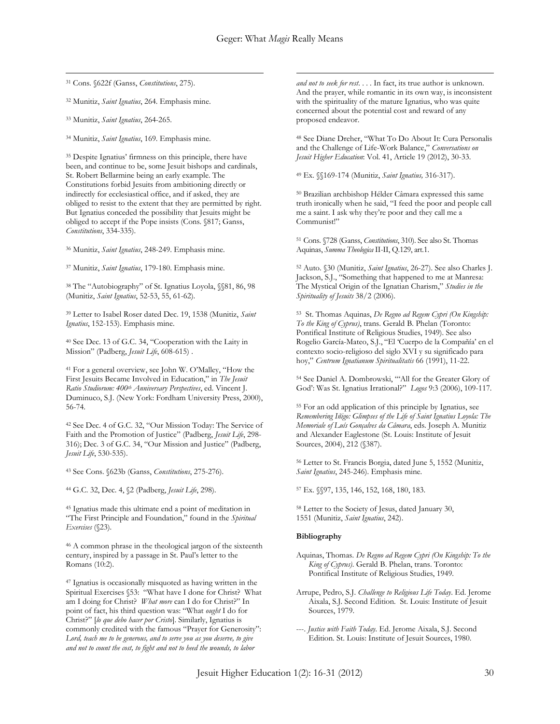$\overline{a}$ 

<sup>31</sup> Cons. §622f (Ganss, *Constitutions*, 275).

<sup>32</sup> Munitiz, *Saint Ignatius*, 264. Emphasis mine.

<sup>33</sup> Munitiz, *Saint Ignatius*, 264-265.

 $\overline{a}$ 

<sup>34</sup> Munitiz, *Saint Ignatius*, 169. Emphasis mine.

<sup>35</sup> Despite Ignatius' firmness on this principle, there have been, and continue to be, some Jesuit bishops and cardinals, St. Robert Bellarmine being an early example. The Constitutions forbid Jesuits from ambitioning directly or indirectly for ecclesiastical office, and if asked, they are obliged to resist to the extent that they are permitted by right. But Ignatius conceded the possibility that Jesuits might be obliged to accept if the Pope insists (Cons. §817; Ganss, *Constitutions*, 334-335).

<sup>36</sup> Munitiz, *Saint Ignatius*, 248-249. Emphasis mine.

<sup>37</sup> Munitiz, *Saint Ignatius*, 179-180. Emphasis mine.

<sup>38</sup> The "Autobiography" of St. Ignatius Loyola, §§81, 86, 98 (Munitiz, *Saint Ignatius*, 52-53, 55, 61-62).

<sup>39</sup> Letter to Isabel Roser dated Dec. 19, 1538 (Munitiz, *Saint Ignatius*, 152-153). Emphasis mine.

<sup>40</sup> See Dec. 13 of G.C. 34, "Cooperation with the Laity in Mission" (Padberg, *Jesuit Life*, 608-615) .

<sup>41</sup> For a general overview, see John W. O'Malley, "How the First Jesuits Became Involved in Education," in *The Jesuit Ratio Studiorum: 400th Anniversary Perspectives*, ed. Vincent J. Duminuco, S.J. (New York: Fordham University Press, 2000), 56-74.

<sup>42</sup> See Dec. 4 of G.C. 32, "Our Mission Today: The Service of Faith and the Promotion of Justice" (Padberg, *Jesuit Life*, 298- 316); Dec. 3 of G.C. 34, "Our Mission and Justice" (Padberg, *Jesuit Life*, 530-535).

<sup>43</sup> See Cons. §623b (Ganss, *Constitutions*, 275-276).

<sup>44</sup> G.C. 32, Dec. 4, §2 (Padberg, *Jesuit Life*, 298).

<sup>45</sup> Ignatius made this ultimate end a point of meditation in "The First Principle and Foundation," found in the *Spiritual Exercises* (§23).

<sup>46</sup> A common phrase in the theological jargon of the sixteenth century, inspired by a passage in St. Paul's letter to the Romans (10:2).

<sup>47</sup> Ignatius is occasionally misquoted as having written in the Spiritual Exercises §53: "What have I done for Christ? What am I doing for Christ? *What more* can I do for Christ?" In point of fact, his third question was: "What *ought* I do for Christ?" [*lo que debo hacer por Cristo*]. Similarly, Ignatius is commonly credited with the famous "Prayer for Generosity": *Lord, teach me to be generous, and to serve you as you deserve, to give and not to count the cost, to fight and not to heed the wounds, to labor* 

*and not to seek for rest*. . . . In fact, its true author is unknown. And the prayer, while romantic in its own way, is inconsistent with the spirituality of the mature Ignatius, who was quite concerned about the potential cost and reward of any proposed endeavor.

<sup>48</sup> See Diane Dreher, "What To Do About It: Cura Personalis and the Challenge of Life-Work Balance," *Conversations on Jesuit Higher Education*: Vol. 41, Article 19 (2012), 30-33.

<sup>49</sup> Ex. §§169-174 (Munitiz, *Saint Ignatius,* 316-317).

<sup>50</sup> Brazilian archbishop Hélder Câmara expressed this same truth ironically when he said, "I feed the poor and people call me a saint. I ask why they're poor and they call me a Communist!"

<sup>51</sup> Cons. §728 (Ganss, *Constitutions*, 310). See also St. Thomas Aquinas, *Summa Theologica* II-II, Q.129, art.1.

<sup>52</sup> Auto. §30 (Munitiz, *Saint Ignatius*, 26-27). See also Charles J. Jackson, S.J., "Something that happened to me at Manresa: The Mystical Origin of the Ignatian Charism," *Studies in the Spirituality of Jesuits* 38/2 (2006).

<sup>53</sup> St. Thomas Aquinas, *De Regno ad Regem Cypri (On Kingship: To the King of Cyprus)*, trans. Gerald B. Phelan (Toronto: Pontifical Institute of Religious Studies, 1949). See also Rogelio García-Mateo, S.J., "El 'Cuerpo de la Compañía' en el contexto socio-religioso del siglo XVI y su significado para hoy," *Centrum Ignatianum Spiritualitatis* 66 (1991), 11-22.

<sup>54</sup> See Daniel A. Dombrowski, "'All for the Greater Glory of God': Was St. Ignatius Irrational?" *Logos* 9:3 (2006), 109-117.

<sup>55</sup> For an odd application of this principle by Ignatius, see *Remembering Iñigo: Glimpses of the Life of Saint Ignatius Loyola: The Memoriale of Luís Gonçalves da Câmara*, eds. Joseph A. Munitiz and Alexander Eaglestone (St. Louis: Institute of Jesuit Sources, 2004), 212 (§387).

<sup>56</sup> Letter to St. Francis Borgia, dated June 5, 1552 (Munitiz, *Saint Ignatius*, 245-246). Emphasis mine.

<sup>57</sup> Ex. §§97, 135, 146, 152, 168, 180, 183.

<sup>58</sup> Letter to the Society of Jesus, dated January 30, 1551 (Munitiz, *Saint Ignatius*, 242).

#### **Bibliography**

- Aquinas, Thomas. *De Regno ad Regem Cypri (On Kingship: To the King of Cyprus)*. Gerald B. Phelan, trans. Toronto: Pontifical Institute of Religious Studies, 1949.
- Arrupe, Pedro, S.J. *Challenge to Religious Life Today*. Ed. Jerome Aixala, S.J. Second Edition. St. Louis: Institute of Jesuit Sources, 1979.
- ---. *Justice with Faith Today*. Ed. Jerome Aixala, S.J. Second Edition. St. Louis: Institute of Jesuit Sources, 1980.